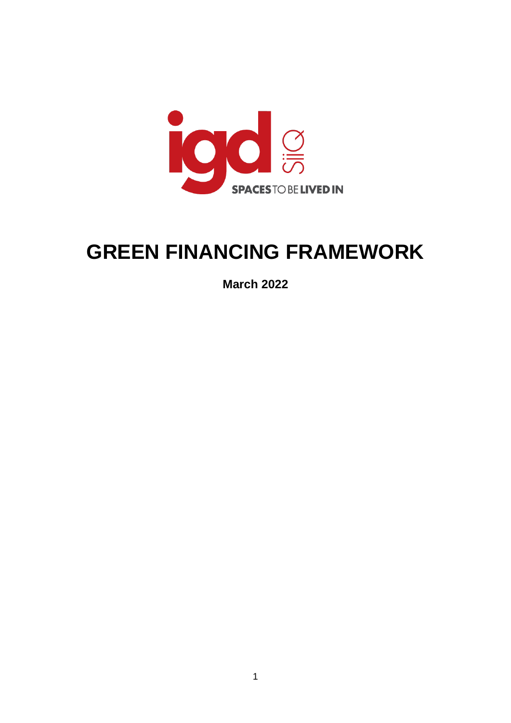

# **GREEN FINANCING FRAMEWORK**

**March 2022**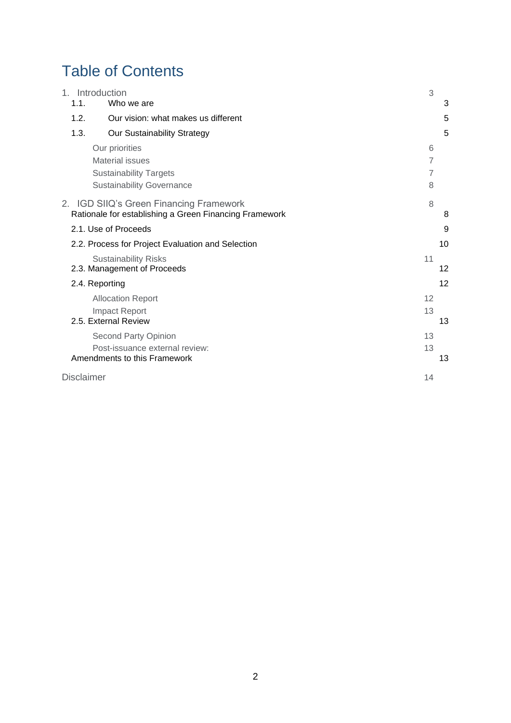## Table of Contents

| $1_{-}$<br>1.1.   | Introduction<br>Who we are                                                                        | 3  | 3  |
|-------------------|---------------------------------------------------------------------------------------------------|----|----|
|                   |                                                                                                   |    |    |
| 1.2.              | Our vision: what makes us different                                                               |    | 5  |
| 1.3.              | Our Sustainability Strategy                                                                       |    | 5  |
|                   | Our priorities                                                                                    | 6  |    |
|                   | <b>Material issues</b>                                                                            | 7  |    |
|                   | <b>Sustainability Targets</b>                                                                     | 7  |    |
|                   | <b>Sustainability Governance</b>                                                                  | 8  |    |
|                   | 2. IGD SIIQ's Green Financing Framework<br>Rationale for establishing a Green Financing Framework | 8  | 8  |
|                   | 2.1. Use of Proceeds                                                                              |    | 9  |
|                   | 2.2. Process for Project Evaluation and Selection                                                 |    | 10 |
|                   | <b>Sustainability Risks</b><br>2.3. Management of Proceeds                                        | 11 | 12 |
|                   | 2.4. Reporting                                                                                    |    | 12 |
|                   | <b>Allocation Report</b>                                                                          | 12 |    |
|                   | <b>Impact Report</b><br>2.5. External Review                                                      | 13 | 13 |
|                   | Second Party Opinion                                                                              | 13 |    |
|                   | Post-issuance external review:<br>Amendments to this Framework                                    | 13 | 13 |
| <b>Disclaimer</b> |                                                                                                   | 14 |    |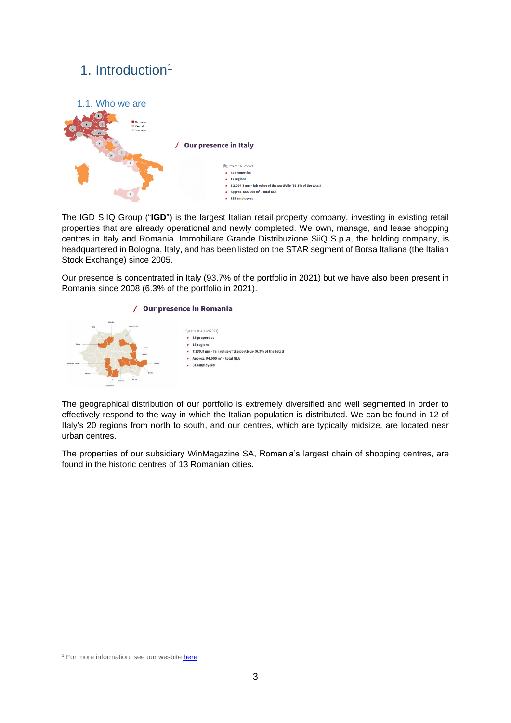## <span id="page-2-0"></span>1. Introduction<sup>1</sup>

<span id="page-2-1"></span>

The IGD SIIQ Group ("**IGD**") is the largest Italian retail property company, investing in existing retail properties that are already operational and newly completed. We own, manage, and lease shopping centres in Italy and Romania. Immobiliare Grande Distribuzione SiiQ S.p.a, the holding company, is headquartered in Bologna, Italy, and has been listed on the STAR segment of Borsa Italiana (the Italian Stock Exchange) since 2005.

Our presence is concentrated in Italy (93.7% of the portfolio in 2021) but we have also been present in Romania since 2008 (6.3% of the portfolio in 2021).



The geographical distribution of our portfolio is extremely diversified and well segmented in order to effectively respond to the way in which the Italian population is distributed. We can be found in 12 of Italy's 20 regions from north to south, and our centres, which are typically midsize, are located near urban centres.

The properties of our subsidiary WinMagazine SA, Romania's largest chain of shopping centres, are found in the historic centres of 13 Romanian cities.

<sup>&</sup>lt;sup>1</sup> For more information, see our wesbite [here](https://www.gruppoigd.it/en/who-we-are/overview/where-we-are/)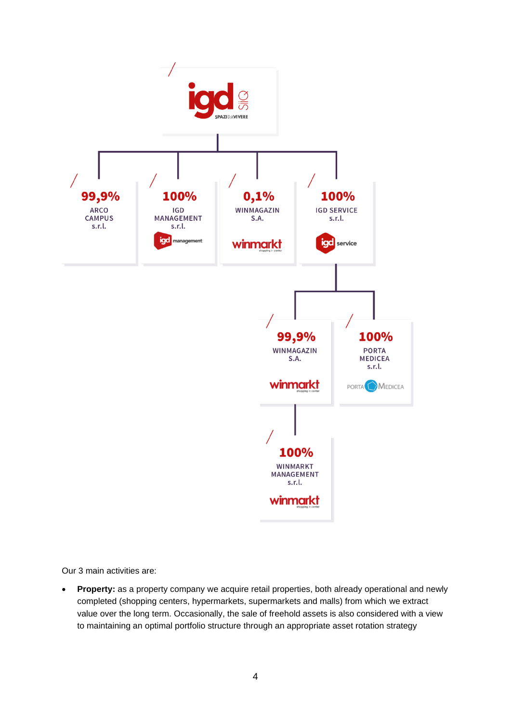

Our 3 main activities are:

• **Property:** as a property company we acquire retail properties, both already operational and newly completed (shopping centers, hypermarkets, supermarkets and malls) from which we extract value over the long term. Occasionally, the sale of freehold assets is also considered with a view to maintaining an optimal portfolio structure through an appropriate asset rotation strategy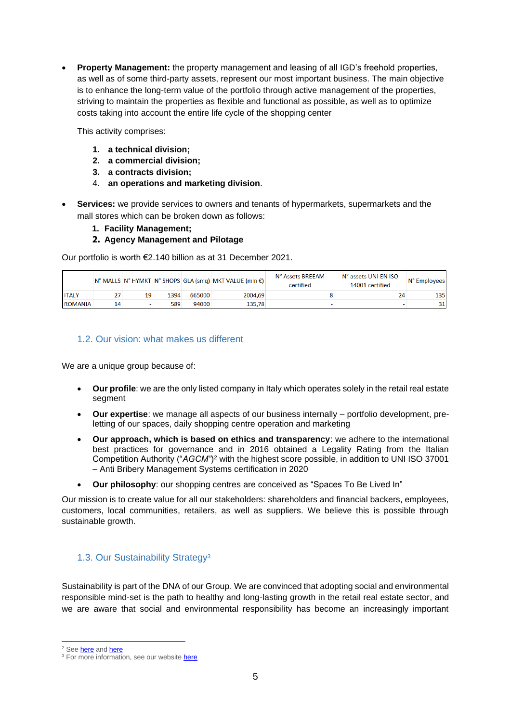**Property Management:** the property management and leasing of all IGD's freehold properties, as well as of some third-party assets, represent our most important business. The main objective is to enhance the long-term value of the portfolio through active management of the properties, striving to maintain the properties as flexible and functional as possible, as well as to optimize costs taking into account the entire life cycle of the shopping center

This activity comprises:

- **1. a technical division;**
- **2. a commercial division;**
- **3. a contracts division;**
- 4. **an operations and marketing division**.
- **Services:** we provide services to owners and tenants of hypermarkets, supermarkets and the mall stores which can be broken down as follows:
	- **1. Facility Management;**
	- **2. Agency Management and Pilotage**

Our portfolio is worth €2.140 billion as at 31 December 2021.

|                |    |    |      |        | N° MALLS N° HYMKT N° SHOPS GLA (smq) MKT VALUE (mln €) | N° Assets BREEAM<br>certified | N° assets UNI EN ISO<br>14001 certified | N° Employees |
|----------------|----|----|------|--------|--------------------------------------------------------|-------------------------------|-----------------------------------------|--------------|
| <b>ITALY</b>   |    | 19 | 1394 | 665000 | 2004,69                                                |                               | 24                                      | 135          |
| <b>ROMANIA</b> | 14 |    | 589  | 94000  | 135.78                                                 |                               |                                         | 31           |

## <span id="page-4-0"></span>1.2. Our vision: what makes us different

We are a unique group because of:

- **Our profile**: we are the only listed company in Italy which operates solely in the retail real estate segment
- **Our expertise**: we manage all aspects of our business internally portfolio development, preletting of our spaces, daily shopping centre operation and marketing
- **Our approach, which is based on ethics and transparency**: we adhere to the international best practices for governance and in 2016 obtained a Legality Rating from the Italian Competition Authority ("*AGCM"*) <sup>2</sup> with the highest score possible, in addition to UNI ISO 37001 – Anti Bribery Management Systems certification in 2020
- **Our philosophy**: our shopping centres are conceived as "Spaces To Be Lived In"

Our mission is to create value for all our stakeholders: shareholders and financial backers, employees, customers, local communities, retailers, as well as suppliers. We believe this is possible through sustainable growth.

## <span id="page-4-1"></span>1.3. Our Sustainability Strategy<sup>3</sup>

Sustainability is part of the DNA of our Group. We are convinced that adopting social and environmental responsible mind-set is the path to healthy and long-lasting growth in the retail real estate sector, and we are aware that social and environmental responsibility has become an increasingly important

<sup>&</sup>lt;sup>2</sup> See **here** and **here** 

<sup>&</sup>lt;sup>3</sup> For more information, see our website [here](https://www.gruppoigd.it/en/sustainability/sustainability-report/sustainability-report-archive/)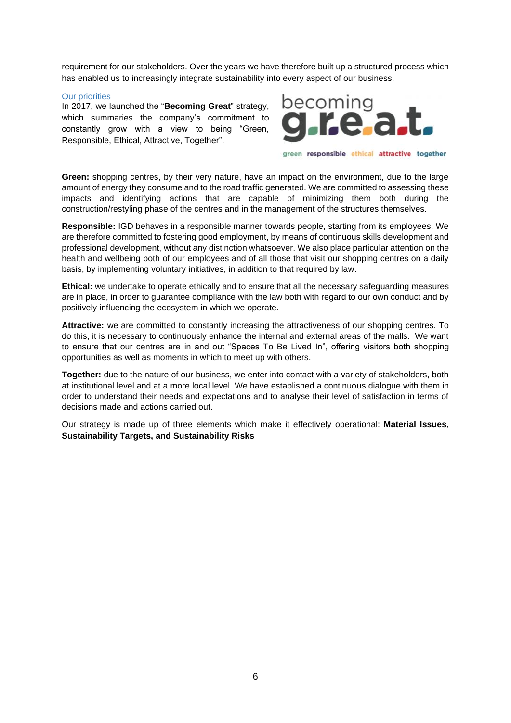requirement for our stakeholders. Over the years we have therefore built up a structured process which has enabled us to increasingly integrate sustainability into every aspect of our business.

#### <span id="page-5-0"></span>Our priorities

In 2017, we launched the "**Becoming Great**" strategy, which summaries the company's commitment to constantly grow with a view to being "Green, Responsible, Ethical, Attractive, Together".



green responsible ethical attractive together

**Green:** shopping centres, by their very nature, have an impact on the environment, due to the large amount of energy they consume and to the road traffic generated. We are committed to assessing these impacts and identifying actions that are capable of minimizing them both during the construction/restyling phase of the centres and in the management of the structures themselves.

**Responsible:** IGD behaves in a responsible manner towards people, starting from its employees. We are therefore committed to fostering good employment, by means of continuous skills development and professional development, without any distinction whatsoever. We also place particular attention on the health and wellbeing both of our employees and of all those that visit our shopping centres on a daily basis, by implementing voluntary initiatives, in addition to that required by law.

**Ethical:** we undertake to operate ethically and to ensure that all the necessary safeguarding measures are in place, in order to guarantee compliance with the law both with regard to our own conduct and by positively influencing the ecosystem in which we operate.

**Attractive:** we are committed to constantly increasing the attractiveness of our shopping centres. To do this, it is necessary to continuously enhance the internal and external areas of the malls. We want to ensure that our centres are in and out "Spaces To Be Lived In", offering visitors both shopping opportunities as well as moments in which to meet up with others.

**Together:** due to the nature of our business, we enter into contact with a variety of stakeholders, both at institutional level and at a more local level. We have established a continuous dialogue with them in order to understand their needs and expectations and to analyse their level of satisfaction in terms of decisions made and actions carried out.

Our strategy is made up of three elements which make it effectively operational: **Material Issues, Sustainability Targets, and Sustainability Risks**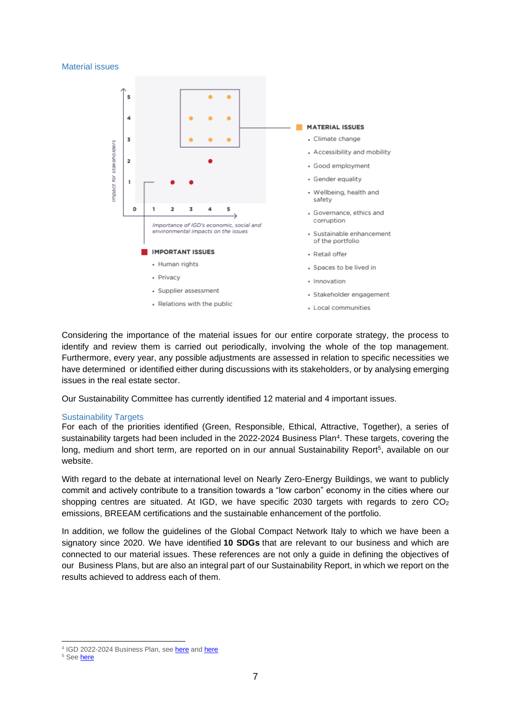#### <span id="page-6-0"></span>Material issues



Considering the importance of the material issues for our entire corporate strategy, the process to identify and review them is carried out periodically, involving the whole of the top management. Furthermore, every year, any possible adjustments are assessed in relation to specific necessities we have determined or identified either during discussions with its stakeholders, or by analysing emerging issues in the real estate sector.

Our Sustainability Committee has currently identified 12 material and 4 important issues.

#### <span id="page-6-1"></span>Sustainability Targets

For each of the priorities identified (Green, Responsible, Ethical, Attractive, Together), a series of sustainability targets had been included in the 2022-2024 Business Plan<sup>4</sup>. These targets, covering the long, medium and short term, are reported on in our annual Sustainability Report<sup>5</sup>, available on our website.

With regard to the debate at international level on Nearly Zero-Energy Buildings, we want to publicly commit and actively contribute to a transition towards a "low carbon" economy in the cities where our shopping centres are situated. At IGD, we have specific 2030 targets with regards to zero  $CO<sub>2</sub>$ emissions, BREEAM certifications and the sustainable enhancement of the portfolio.

In addition, we follow the guidelines of the Global Compact Network Italy to which we have been a signatory since 2020. We have identified **10 SDGs** that are relevant to our business and which are connected to our material issues. These references are not only a guide in defining the objectives of our Business Plans, but are also an integral part of our Sustainability Report, in which we report on the results achieved to address each of them.

<sup>&</sup>lt;sup>4</sup> IGD 2022-2024 Business Plan, see [here](https://www.gruppoigd.it/en/2022-2024-business-plan-presentation-mission-possible/) and [here](https://www.gruppoigd.it/en/investor-relations/strategy/)

<sup>&</sup>lt;sup>5</sup> See **here**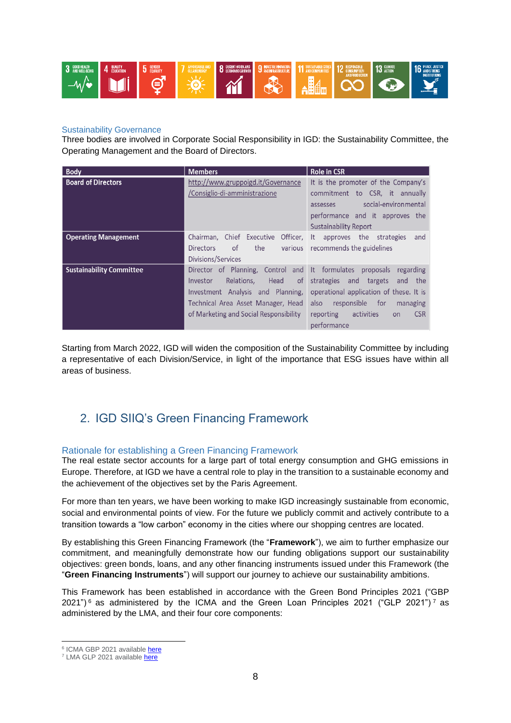

## <span id="page-7-0"></span>Sustainability Governance

Three bodies are involved in Corporate Social Responsibility in IGD: the Sustainability Committee, the Operating Management and the Board of Directors.

| <b>Body</b>                     | <b>Members</b>                                                | <b>Role in CSR</b>                                 |  |
|---------------------------------|---------------------------------------------------------------|----------------------------------------------------|--|
| <b>Board of Directors</b>       | http://www.gruppoigd.it/Governance                            | It is the promoter of the Company's                |  |
|                                 | /Consiglio-di-amministrazione                                 | commitment to CSR, it annually                     |  |
|                                 |                                                               | social-environmental<br>assesses                   |  |
|                                 |                                                               | performance and it approves the                    |  |
|                                 |                                                               | <b>Sustainability Report</b>                       |  |
| <b>Operating Management</b>     | Chairman, Chief Executive Officer, It approves the strategies | and                                                |  |
|                                 | the<br><b>Directors</b><br>of                                 | various recommends the guidelines                  |  |
|                                 | Divisions/Services                                            |                                                    |  |
| <b>Sustainability Committee</b> | Director of Planning, Control                                 | and It formulates<br>proposals<br>regarding        |  |
|                                 | Relations.<br>of<br>Head<br>Investor                          | strategies and<br>targets<br>the<br>and            |  |
|                                 | Investment Analysis and Planning,                             | operational application of these. It is            |  |
|                                 | Technical Area Asset Manager, Head                            | responsible for<br>also<br>managing                |  |
|                                 | of Marketing and Social Responsibility                        | <b>CSR</b><br>reporting<br>activities<br><b>on</b> |  |
|                                 |                                                               | performance                                        |  |

Starting from March 2022, IGD will widen the composition of the Sustainability Committee by including a representative of each Division/Service, in light of the importance that ESG issues have within all areas of business.

## <span id="page-7-1"></span>2. IGD SIIQ's Green Financing Framework

## <span id="page-7-2"></span>Rationale for establishing a Green Financing Framework

The real estate sector accounts for a large part of total energy consumption and GHG emissions in Europe. Therefore, at IGD we have a central role to play in the transition to a sustainable economy and the achievement of the objectives set by the Paris Agreement.

For more than ten years, we have been working to make IGD increasingly sustainable from economic, social and environmental points of view. For the future we publicly commit and actively contribute to a transition towards a "low carbon" economy in the cities where our shopping centres are located.

By establishing this Green Financing Framework (the "**Framework**"), we aim to further emphasize our commitment, and meaningfully demonstrate how our funding obligations support our sustainability objectives: green bonds, loans, and any other financing instruments issued under this Framework (the "**Green Financing Instruments**") will support our journey to achieve our sustainability ambitions.

This Framework has been established in accordance with the Green Bond Principles 2021 ("GBP  $2021"$ ) 6 as administered by the ICMA and the Green Loan Principles 2021 ("GLP 2021") 7 as administered by the LMA, and their four core components:

<sup>&</sup>lt;sup>6</sup> ICMA GBP 2021 available [here](https://www.icmagroup.org/assets/documents/Sustainable-finance/2021-updates/Green-Bond-Principles-June-2021-100621.pdf)

<sup>&</sup>lt;sup>7</sup> LMA GLP 2021 available [here](https://www.lma.eu.com/application/files/9716/1304/3740/Green_Loan_Principles_Feb2021_V04.pdf)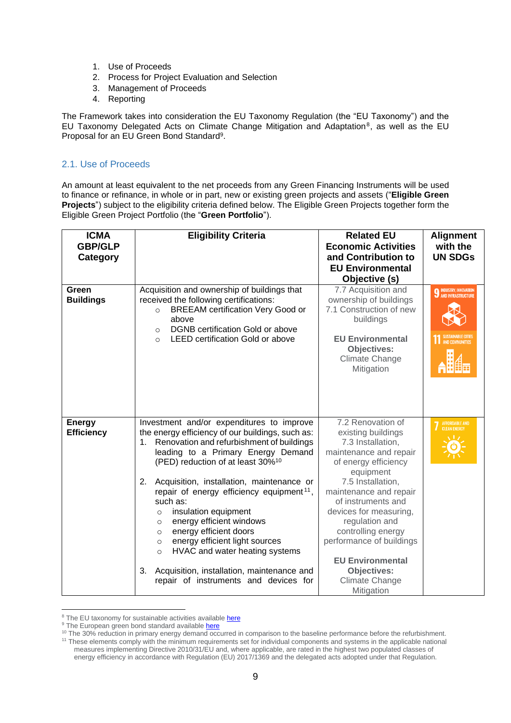- 1. Use of Proceeds
- 2. Process for Project Evaluation and Selection
- 3. Management of Proceeds
- 4. Reporting

The Framework takes into consideration the EU Taxonomy Regulation (the "EU Taxonomy") and the EU Taxonomy Delegated Acts on Climate Change Mitigation and Adaptation<sup>8</sup>, as well as the EU Proposal for an EU Green Bond Standard<sup>9</sup>.

## <span id="page-8-0"></span>2.1. Use of Proceeds

An amount at least equivalent to the net proceeds from any Green Financing Instruments will be used to finance or refinance, in whole or in part, new or existing green projects and assets ("**Eligible Green Projects**") subject to the eligibility criteria defined below. The Eligible Green Projects together form the Eligible Green Project Portfolio (the "**Green Portfolio**").

| <b>ICMA</b><br><b>GBP/GLP</b><br>Category | <b>Eligibility Criteria</b>                                                                                                                                                                                                                                                                                                                                                                                                                                                                                                                                                                                                                                           | <b>Related EU</b><br><b>Economic Activities</b><br>and Contribution to<br><b>EU Environmental</b><br>Objective (s)                                                                                                                                                                                                                                                       | <b>Alignment</b><br>with the<br><b>UN SDGs</b> |
|-------------------------------------------|-----------------------------------------------------------------------------------------------------------------------------------------------------------------------------------------------------------------------------------------------------------------------------------------------------------------------------------------------------------------------------------------------------------------------------------------------------------------------------------------------------------------------------------------------------------------------------------------------------------------------------------------------------------------------|--------------------------------------------------------------------------------------------------------------------------------------------------------------------------------------------------------------------------------------------------------------------------------------------------------------------------------------------------------------------------|------------------------------------------------|
| Green<br><b>Buildings</b>                 | Acquisition and ownership of buildings that<br>received the following certifications:<br><b>BREEAM</b> certification Very Good or<br>$\circ$<br>above<br><b>DGNB</b> certification Gold or above<br>$\circ$<br><b>LEED certification Gold or above</b><br>$\Omega$                                                                                                                                                                                                                                                                                                                                                                                                    | 7.7 Acquisition and<br>ownership of buildings<br>7.1 Construction of new<br>buildings<br><b>EU Environmental</b><br><b>Objectives:</b><br><b>Climate Change</b><br>Mitigation                                                                                                                                                                                            | <b>9</b> INDUSTRY, INNOVATION                  |
| <b>Energy</b><br><b>Efficiency</b>        | Investment and/or expenditures to improve<br>the energy efficiency of our buildings, such as:<br>Renovation and refurbishment of buildings<br>1.<br>leading to a Primary Energy Demand<br>(PED) reduction of at least 30% <sup>10</sup><br>Acquisition, installation, maintenance or<br>2.<br>repair of energy efficiency equipment <sup>11</sup> ,<br>such as:<br>insulation equipment<br>$\circ$<br>energy efficient windows<br>$\circ$<br>energy efficient doors<br>$\circ$<br>energy efficient light sources<br>$\circ$<br>HVAC and water heating systems<br>$\circ$<br>Acquisition, installation, maintenance and<br>3.<br>repair of instruments and devices for | 7.2 Renovation of<br>existing buildings<br>7.3 Installation,<br>maintenance and repair<br>of energy efficiency<br>equipment<br>7.5 Installation,<br>maintenance and repair<br>of instruments and<br>devices for measuring,<br>regulation and<br>controlling energy<br>performance of buildings<br><b>EU Environmental</b><br>Objectives:<br>Climate Change<br>Mitigation | AFFORDABLE AND<br>CLEAN ENERGY                 |

<sup>&</sup>lt;sup>8</sup> The EU taxonomy for sustainable activities available [here](https://ec.europa.eu/info/business-economy-euro/banking-and-finance/sustainable-finance/eu-taxonomy-sustainable-activities_en)

<sup>&</sup>lt;sup>9</sup> The European green bond standard available [here](https://ec.europa.eu/info/business-economy-euro/banking-and-finance/sustainable-finance/european-green-bond-standard_en)

<sup>&</sup>lt;sup>10</sup> The 30% reduction in primary energy demand occurred in comparison to the baseline performance before the refurbishment. <sup>11</sup> These elements comply with the minimum requirements set for individual components and systems in the applicable national measures implementing Directive 2010/31/EU and, where applicable, are rated in the highest two populated classes of energy efficiency in accordance with Regulation (EU) 2017/1369 and the delegated acts adopted under that Regulation.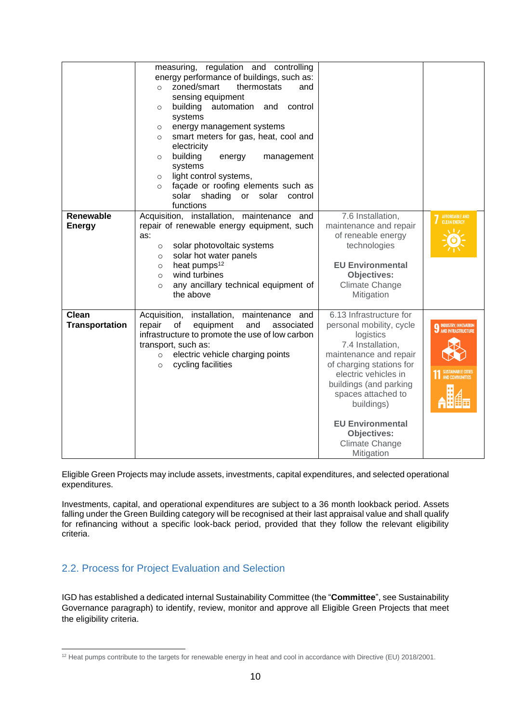| <b>Renewable</b>      | measuring, regulation and controlling<br>energy performance of buildings, such as:<br>zoned/smart<br>thermostats<br>and<br>$\circ$<br>sensing equipment<br>building<br>automation and<br>control<br>$\circ$<br>systems<br>energy management systems<br>$\circ$<br>smart meters for gas, heat, cool and<br>$\circ$<br>electricity<br>building<br>energy<br>management<br>$\circ$<br>systems<br>light control systems,<br>$\circ$<br>façade or roofing elements such as<br>$\circ$<br>solar<br>shading or solar<br>control<br>functions<br>Acquisition, installation, maintenance and | 7.6 Installation,                                  |                                                   |
|-----------------------|-------------------------------------------------------------------------------------------------------------------------------------------------------------------------------------------------------------------------------------------------------------------------------------------------------------------------------------------------------------------------------------------------------------------------------------------------------------------------------------------------------------------------------------------------------------------------------------|----------------------------------------------------|---------------------------------------------------|
| <b>Energy</b>         | repair of renewable energy equipment, such                                                                                                                                                                                                                                                                                                                                                                                                                                                                                                                                          | maintenance and repair                             | AFFORDABLE AND<br>CLEAN ENERGY                    |
|                       | as:                                                                                                                                                                                                                                                                                                                                                                                                                                                                                                                                                                                 | of reneable energy                                 |                                                   |
|                       | solar photovoltaic systems<br>$\circ$                                                                                                                                                                                                                                                                                                                                                                                                                                                                                                                                               | technologies                                       |                                                   |
|                       | solar hot water panels<br>$\circ$                                                                                                                                                                                                                                                                                                                                                                                                                                                                                                                                                   |                                                    |                                                   |
|                       | heat pumps <sup>12</sup><br>$\circ$                                                                                                                                                                                                                                                                                                                                                                                                                                                                                                                                                 | <b>EU Environmental</b>                            |                                                   |
|                       | wind turbines<br>$\circ$                                                                                                                                                                                                                                                                                                                                                                                                                                                                                                                                                            | <b>Objectives:</b>                                 |                                                   |
|                       | any ancillary technical equipment of<br>$\circ$                                                                                                                                                                                                                                                                                                                                                                                                                                                                                                                                     | <b>Climate Change</b>                              |                                                   |
|                       | the above                                                                                                                                                                                                                                                                                                                                                                                                                                                                                                                                                                           | Mitigation                                         |                                                   |
| Clean                 | Acquisition, installation,<br>maintenance<br>and                                                                                                                                                                                                                                                                                                                                                                                                                                                                                                                                    | 6.13 Infrastructure for                            |                                                   |
| <b>Transportation</b> | repair<br>of<br>equipment<br>and<br>associated                                                                                                                                                                                                                                                                                                                                                                                                                                                                                                                                      | personal mobility, cycle                           | INDUSTRY, INNOVATION<br><b>AND INFRASTRUCTURE</b> |
|                       | infrastructure to promote the use of low carbon                                                                                                                                                                                                                                                                                                                                                                                                                                                                                                                                     | logistics                                          |                                                   |
|                       | transport, such as:                                                                                                                                                                                                                                                                                                                                                                                                                                                                                                                                                                 | 7.4 Installation,                                  |                                                   |
|                       | electric vehicle charging points<br>$\circ$<br>cycling facilities<br>$\circ$                                                                                                                                                                                                                                                                                                                                                                                                                                                                                                        | maintenance and repair<br>of charging stations for |                                                   |
|                       |                                                                                                                                                                                                                                                                                                                                                                                                                                                                                                                                                                                     | electric vehicles in                               | SI ISTAINARI F CITIF<br>AND COMMUNITIES           |
|                       |                                                                                                                                                                                                                                                                                                                                                                                                                                                                                                                                                                                     | buildings (and parking                             |                                                   |
|                       |                                                                                                                                                                                                                                                                                                                                                                                                                                                                                                                                                                                     | spaces attached to                                 |                                                   |
|                       |                                                                                                                                                                                                                                                                                                                                                                                                                                                                                                                                                                                     | buildings)                                         |                                                   |
|                       |                                                                                                                                                                                                                                                                                                                                                                                                                                                                                                                                                                                     | <b>EU Environmental</b>                            |                                                   |
|                       |                                                                                                                                                                                                                                                                                                                                                                                                                                                                                                                                                                                     | <b>Objectives:</b>                                 |                                                   |
|                       |                                                                                                                                                                                                                                                                                                                                                                                                                                                                                                                                                                                     | <b>Climate Change</b>                              |                                                   |
|                       |                                                                                                                                                                                                                                                                                                                                                                                                                                                                                                                                                                                     | Mitigation                                         |                                                   |

Eligible Green Projects may include assets, investments, capital expenditures, and selected operational expenditures.

Investments, capital, and operational expenditures are subject to a 36 month lookback period. Assets falling under the Green Building category will be recognised at their last appraisal value and shall qualify for refinancing without a specific look-back period, provided that they follow the relevant eligibility criteria.

## <span id="page-9-0"></span>2.2. Process for Project Evaluation and Selection

IGD has established a dedicated internal Sustainability Committee (the "**Committee**", see Sustainability Governance paragraph) to identify, review, monitor and approve all Eligible Green Projects that meet the eligibility criteria.

<sup>&</sup>lt;sup>12</sup> Heat pumps contribute to the targets for renewable energy in heat and cool in accordance with Directive (EU) 2018/2001.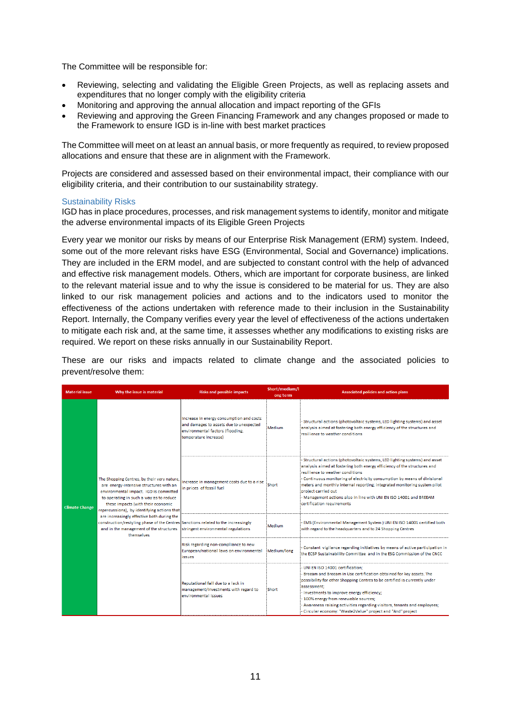The Committee will be responsible for:

- Reviewing, selecting and validating the Eligible Green Projects, as well as replacing assets and expenditures that no longer comply with the eligibility criteria
- Monitoring and approving the annual allocation and impact reporting of the GFIs
- Reviewing and approving the Green Financing Framework and any changes proposed or made to the Framework to ensure IGD is in-line with best market practices

The Committee will meet on at least an annual basis, or more frequently as required, to review proposed allocations and ensure that these are in alignment with the Framework.

Projects are considered and assessed based on their environmental impact, their compliance with our eligibility criteria, and their contribution to our sustainability strategy.

#### <span id="page-10-0"></span>Sustainability Risks

IGD has in place procedures, processes, and risk management systems to identify, monitor and mitigate the adverse environmental impacts of its Eligible Green Projects

Every year we monitor our risks by means of our Enterprise Risk Management (ERM) system. Indeed, some out of the more relevant risks have ESG (Environmental, Social and Governance) implications. They are included in the ERM model, and are subjected to constant control with the help of advanced and effective risk management models. Others, which are important for corporate business, are linked to the relevant material issue and to why the issue is considered to be material for us. They are also linked to our risk management policies and actions and to the indicators used to monitor the effectiveness of the actions undertaken with reference made to their inclusion in the Sustainability Report. Internally, the Company verifies every year the level of effectiveness of the actions undertaken to mitigate each risk and, at the same time, it assesses whether any modifications to existing risks are required. We report on these risks annually in our Sustainability Report.

These are our risks and impacts related to climate change and the associated policies to prevent/resolve them:

| <b>Material issue</b> | <b>Risks and possible impacts</b><br>Why the issue is material                                                                                                                                                                                                                                                                                                                                                                                               |                                                                                                                                                  | Short/medium/l<br>ong term                                                                | <b>Associated policies and action plans</b>                                                                                                                                                                                                                                                                                                                                                                                                                                   |                                                                                                                                                         |
|-----------------------|--------------------------------------------------------------------------------------------------------------------------------------------------------------------------------------------------------------------------------------------------------------------------------------------------------------------------------------------------------------------------------------------------------------------------------------------------------------|--------------------------------------------------------------------------------------------------------------------------------------------------|-------------------------------------------------------------------------------------------|-------------------------------------------------------------------------------------------------------------------------------------------------------------------------------------------------------------------------------------------------------------------------------------------------------------------------------------------------------------------------------------------------------------------------------------------------------------------------------|---------------------------------------------------------------------------------------------------------------------------------------------------------|
| <b>Climate Change</b> | The Shopping Centres, by their very nature,<br>are energy-intensive structures with an<br>environmental impact. IGD is committed<br>to operating in such a way as to reduce<br>these impacts (with their economic<br>repercussions), by identifying actions that<br>are increasingly effective both during the<br>construction/restyling phase of the Centres Sanctions related to the increasingly<br>and in the management of the structures<br>themselves | Increase in energy consumption and costs<br>and damages to assets due to unexpected<br>environmental factors (flooding,<br>temperature increase) | Medium                                                                                    | Structural actions (photovoltaic systems, LED lighting systems) and asset<br>analysis aimed at fostering both energy efficiency of the structures and<br>resilience to weather conditions.                                                                                                                                                                                                                                                                                    |                                                                                                                                                         |
|                       |                                                                                                                                                                                                                                                                                                                                                                                                                                                              | Increase in management costs due to a rise<br>in prices of fossil fuel                                                                           | Short                                                                                     | - Structural actions (photovoltaic systems, LED lighting systems) and asset<br>analysis aimed at fostering both energy efficiency of the structures and<br>resilience to weather conditions.<br>Continuous monitoring of electricity consumption by means of divisional<br>meters and monthly internal reporting; integrated monitoring system pilot<br>project carried out<br>Management actions also in line with UNI EN ISO 14001 and BREEAM<br>certification requirements |                                                                                                                                                         |
|                       |                                                                                                                                                                                                                                                                                                                                                                                                                                                              | stringent environmental regulations                                                                                                              | Medium                                                                                    | EMS (Environmental Management System ) UNI EN ISO 14001 certified both<br>with regard to the headquarters and to 24 Shopping Centres                                                                                                                                                                                                                                                                                                                                          |                                                                                                                                                         |
|                       |                                                                                                                                                                                                                                                                                                                                                                                                                                                              |                                                                                                                                                  | Risk regarding non-compliance to new<br>European/national laws on environmental<br>issues | Medium/long                                                                                                                                                                                                                                                                                                                                                                                                                                                                   | Constant vigilance regarding initiatives by means of active participation in<br>the ECSP Sustainability Committee and in the ESG Commission of the CNCC |
|                       |                                                                                                                                                                                                                                                                                                                                                                                                                                                              | Reputational fall due to a lack in<br>management/investments with regard to<br>environmental issues                                              | Short                                                                                     | UNI EN ISO 14001 certification:<br>Breeam and Breeam in Use certification obtained for key assets. The<br>possibility for other Shopping Centres to be certified is currently under<br>assessment:<br>- Investments to improve energy efficiency;<br>- 100% energy from renewable sources:<br>Awareness raising activities regarding visitors, tenants and employees;<br>Circular economy: "Waste2Value" project and "And" project                                            |                                                                                                                                                         |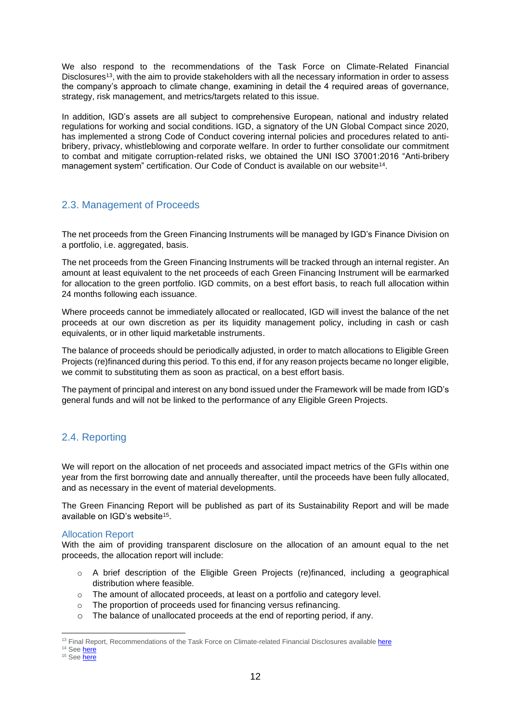We also respond to the recommendations of the Task Force on Climate-Related Financial Disclosures<sup>13</sup>, with the aim to provide stakeholders with all the necessary information in order to assess the company's approach to climate change, examining in detail the 4 required areas of governance, strategy, risk management, and metrics/targets related to this issue.

In addition, IGD's assets are all subject to comprehensive European, national and industry related regulations for working and social conditions. IGD, a signatory of the UN Global Compact since 2020, has implemented a strong Code of Conduct covering internal policies and procedures related to antibribery, privacy, whistleblowing and corporate welfare. In order to further consolidate our commitment to combat and mitigate corruption-related risks, we obtained the UNI ISO 37001:2016 "Anti-bribery management system" certification. Our Code of Conduct is available on our website<sup>14</sup>.

## <span id="page-11-0"></span>2.3. Management of Proceeds

The net proceeds from the Green Financing Instruments will be managed by IGD's Finance Division on a portfolio, i.e. aggregated, basis.

The net proceeds from the Green Financing Instruments will be tracked through an internal register. An amount at least equivalent to the net proceeds of each Green Financing Instrument will be earmarked for allocation to the green portfolio. IGD commits, on a best effort basis, to reach full allocation within 24 months following each issuance.

Where proceeds cannot be immediately allocated or reallocated, IGD will invest the balance of the net proceeds at our own discretion as per its liquidity management policy, including in cash or cash equivalents, or in other liquid marketable instruments.

The balance of proceeds should be periodically adjusted, in order to match allocations to Eligible Green Projects (re)financed during this period. To this end, if for any reason projects became no longer eligible, we commit to substituting them as soon as practical, on a best effort basis.

The payment of principal and interest on any bond issued under the Framework will be made from IGD's general funds and will not be linked to the performance of any Eligible Green Projects.

## <span id="page-11-1"></span>2.4. Reporting

We will report on the allocation of net proceeds and associated impact metrics of the GFIs within one year from the first borrowing date and annually thereafter, until the proceeds have been fully allocated, and as necessary in the event of material developments.

The Green Financing Report will be published as part of its Sustainability Report and will be made available on IGD's website<sup>15</sup>.

## <span id="page-11-2"></span>Allocation Report

With the aim of providing transparent disclosure on the allocation of an amount equal to the net proceeds, the allocation report will include:

- o A brief description of the Eligible Green Projects (re)financed, including a geographical distribution where feasible.
- o The amount of allocated proceeds, at least on a portfolio and category level.
- o The proportion of proceeds used for financing versus refinancing.
- o The balance of unallocated proceeds at the end of reporting period, if any.

<sup>&</sup>lt;sup>13</sup> Final Report, Recommendations of the Task Force on Climate-related Financial Disclosures availabl[e here](https://www.fsb-tcfd.org/publications/finalrecommendations-report/)

<sup>&</sup>lt;sup>14</sup> See **here** 

<sup>&</sup>lt;sup>15</sup> See [here](https://www.gruppoigd.it/sostenibilita/bilancio-di-sostenibilita/)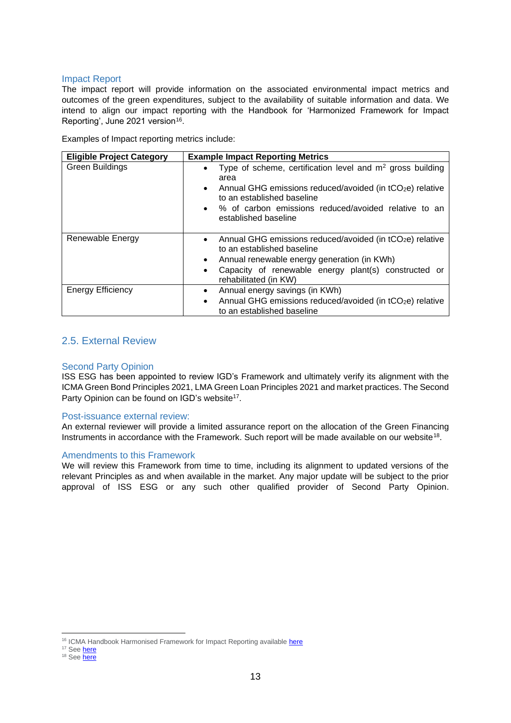#### <span id="page-12-0"></span>Impact Report

The impact report will provide information on the associated environmental impact metrics and outcomes of the green expenditures, subject to the availability of suitable information and data. We intend to align our impact reporting with the Handbook for 'Harmonized Framework for Impact Reporting', June 2021 version<sup>16</sup>.

Examples of Impact reporting metrics include:

| <b>Eligible Project Category</b> | <b>Example Impact Reporting Metrics</b>                                                                                                                                                                                                                                   |
|----------------------------------|---------------------------------------------------------------------------------------------------------------------------------------------------------------------------------------------------------------------------------------------------------------------------|
| <b>Green Buildings</b>           | Type of scheme, certification level and $m2$ gross building<br>$\bullet$<br>area<br>Annual GHG emissions reduced/avoided (in tCO <sub>2</sub> e) relative<br>to an established baseline<br>• % of carbon emissions reduced/avoided relative to an<br>established baseline |
| Renewable Energy                 | Annual GHG emissions reduced/avoided (in tCO <sub>2</sub> e) relative<br>$\bullet$<br>to an established baseline<br>Annual renewable energy generation (in KWh)<br>$\bullet$<br>Capacity of renewable energy plant(s) constructed or<br>rehabilitated (in KW)             |
| <b>Energy Efficiency</b>         | Annual energy savings (in KWh)<br>Annual GHG emissions reduced/avoided (in tCO <sub>2</sub> e) relative<br>$\bullet$<br>to an established baseline                                                                                                                        |

## <span id="page-12-1"></span>2.5. External Review

## <span id="page-12-2"></span>Second Party Opinion

ISS ESG has been appointed to review IGD's Framework and ultimately verify its alignment with the ICMA Green Bond Principles 2021, LMA Green Loan Principles 2021 and market practices. The Second Party Opinion can be found on IGD's website<sup>17</sup>.

## <span id="page-12-3"></span>Post-issuance external review:

An external reviewer will provide a limited assurance report on the allocation of the Green Financing Instruments in accordance with the Framework. Such report will be made available on our website<sup>18</sup>.

## <span id="page-12-4"></span>Amendments to this Framework

We will review this Framework from time to time, including its alignment to updated versions of the relevant Principles as and when available in the market. Any major update will be subject to the prior approval of ISS ESG or any such other qualified provider of Second Party Opinion.

<sup>&</sup>lt;sup>16</sup> ICMA Handbook Harmonised Framework for Impact Reporting available [here](https://www.icmagroup.org/assets/documents/Sustainable-finance/2021-updates/Handbook-Harmonised-Framework-for-Impact-Reporting-June-2021-100621.pdf)

<sup>&</sup>lt;sup>17</sup> Se[e here](https://www.gruppoigd.it/en/investor-relations/debt-and-ratings/issues/)

<sup>&</sup>lt;sup>18</sup> Se[e here](https://www.gruppoigd.it/en/investor-relations/debt-and-ratings/issues/)